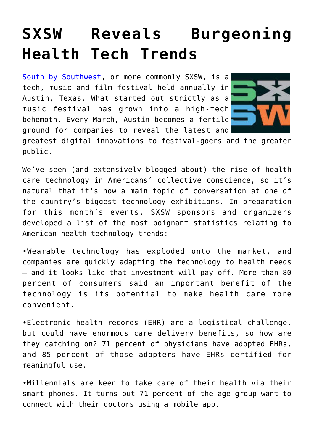## **[SXSW Reveals Burgeoning](https://www.cns-inc.com/insights/thought-leadership/sxsw-reveals-burgeoning-health-tech-trends/) [Health Tech Trends](https://www.cns-inc.com/insights/thought-leadership/sxsw-reveals-burgeoning-health-tech-trends/)**

[South by Southwest](http://sxsw.com/), or more commonly SXSW, is a tech, music and film festival held annually in Austin, Texas. What started out strictly as a music festival has grown into a high-tech behemoth. Every March, Austin becomes a fertile ground for companies to reveal the latest and



greatest digital innovations to festival-goers and the greater public.

We've seen (and extensively blogged about) the rise of health care technology in Americans' collective conscience, so it's natural that it's now a main topic of conversation at one of the country's biggest technology exhibitions. In preparation for this month's events, SXSW sponsors and organizers developed a list of the most poignant statistics relating to American health technology trends:

•Wearable technology has exploded onto the market, and companies are quickly adapting the technology to health needs – and it looks like that investment will pay off. More than 80 percent of consumers said an important benefit of the technology is its potential to make health care more convenient.

•Electronic health records (EHR) are a logistical challenge, but could have enormous care delivery benefits, so how are they catching on? 71 percent of physicians have adopted EHRs, and 85 percent of those adopters have EHRs certified for meaningful use.

•Millennials are keen to take care of their health via their smart phones. It turns out 71 percent of the age group want to connect with their doctors using a mobile app.